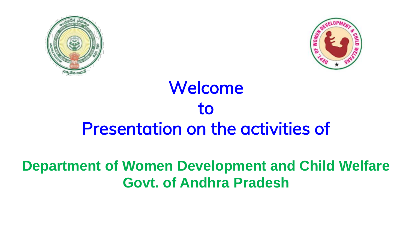



# Welcome to Presentation on the activities of

### **Department of Women Development and Child Welfare Govt. of Andhra Pradesh**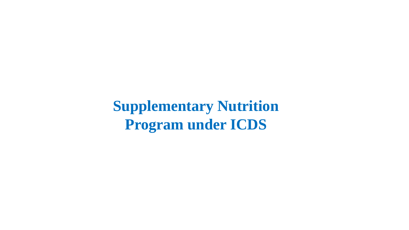**Supplementary Nutrition Program under ICDS**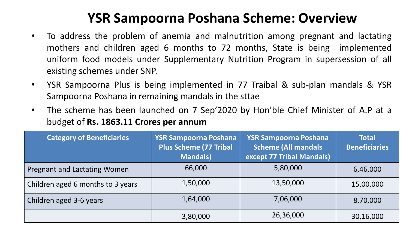#### **YSR Sampoorna Poshana Scheme: Overview**

- To address the problem of anemia and malnutrition among pregnant and lactating mothers and children aged 6 months to 72 months, State is being implemented uniform food models under Supplementary Nutrition Program in supersession of all existing schemes under SNP.
- YSR Sampoorna Plus is being implemented in 77 Traibal & sub-plan mandals & YSR Sampoorna Poshana in remaining mandals in the sttae
- The scheme has been launched on 7 Sep'2020 by Hon'ble Chief Minister of A.P at a budget of **Rs. 1863.11 Crores per annum**

| <b>Category of Beneficiaries</b>  | <b>YSR Sampoorna Poshana</b><br><b>Plus Scheme (77 Tribal</b><br><b>Mandals)</b> | <b>YSR Sampoorna Poshana</b><br><b>Scheme (All mandals</b><br>except 77 Tribal Mandals) | <b>Total</b><br><b>Beneficiaries</b> |
|-----------------------------------|----------------------------------------------------------------------------------|-----------------------------------------------------------------------------------------|--------------------------------------|
| Pregnant and Lactating Women      | 66,000                                                                           | 5,80,000                                                                                | 6,46,000                             |
| Children aged 6 months to 3 years | 1,50,000                                                                         | 13,50,000                                                                               | 15,00,000                            |
| Children aged 3-6 years           | 1,64,000                                                                         | 7,06,000                                                                                | 8,70,000                             |
|                                   | 3,80,000                                                                         | 26,36,000                                                                               | 30,16,000                            |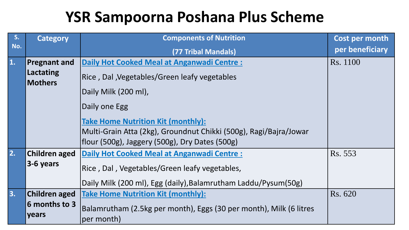## **YSR Sampoorna Poshana Plus Scheme**

| S <sub>1</sub> | <b>Category</b>                                                                                                                  | <b>Components of Nutrition</b>                                                   | Cost per month  |
|----------------|----------------------------------------------------------------------------------------------------------------------------------|----------------------------------------------------------------------------------|-----------------|
| No.            |                                                                                                                                  | (77 Tribal Mandals)                                                              | per beneficiary |
| 1.             | <b>Pregnant and</b>                                                                                                              | Daily Hot Cooked Meal at Anganwadi Centre :                                      | Rs. 1100        |
|                | Lactating<br>Rice, Dal, Vegetables/Green leafy vegetables<br><b>Mothers</b>                                                      |                                                                                  |                 |
|                |                                                                                                                                  | Daily Milk (200 ml),                                                             |                 |
|                |                                                                                                                                  | Daily one Egg                                                                    |                 |
|                |                                                                                                                                  | <b>Take Home Nutrition Kit (monthly):</b>                                        |                 |
|                |                                                                                                                                  | Multi-Grain Atta (2kg), Groundnut Chikki (500g), Ragi/Bajra/Jowar                |                 |
|                |                                                                                                                                  | [flour (500g), Jaggery (500g), Dry Dates (500g)                                  |                 |
| 2.             | Children aged<br><b>Daily Hot Cooked Meal at Anganwadi Centre:</b><br>3-6 years<br>Rice, Dal, Vegetables/Green leafy vegetables, |                                                                                  | Rs. 553         |
|                |                                                                                                                                  |                                                                                  |                 |
|                |                                                                                                                                  | Daily Milk (200 ml), Egg (daily), Balamrutham Laddu/Pysum(50g)                   |                 |
| 3.             | Children aged                                                                                                                    | <b>Take Home Nutrition Kit (monthly):</b>                                        | Rs. 620         |
|                | 6 months to 3<br>years                                                                                                           | Balamrutham (2.5kg per month), Eggs (30 per month), Milk (6 litres<br>per month) |                 |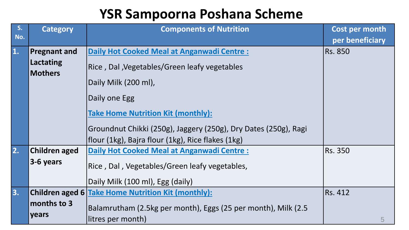#### **YSR Sampoorna Poshana Scheme**

| S <sub>1</sub><br>No.     | <b>Category</b>             | <b>Components of Nutrition</b>                                  | Cost per month  |
|---------------------------|-----------------------------|-----------------------------------------------------------------|-----------------|
|                           |                             |                                                                 | per beneficiary |
| $\overline{\mathbf{1}}$ . | <b>Pregnant and</b>         | <b>Daily Hot Cooked Meal at Anganwadi Centre:</b>               | <b>Rs. 850</b>  |
|                           | Lactating<br><b>Mothers</b> | Rice, Dal, Vegetables/Green leafy vegetables                    |                 |
|                           |                             | Daily Milk (200 ml),                                            |                 |
|                           |                             | Daily one Egg                                                   |                 |
|                           |                             | <b>Take Home Nutrition Kit (monthly):</b>                       |                 |
|                           |                             | Groundnut Chikki (250g), Jaggery (250g), Dry Dates (250g), Ragi |                 |
|                           |                             | flour (1kg), Bajra flour (1kg), Rice flakes (1kg)               |                 |
| 2.                        | Children aged               | <b>Daily Hot Cooked Meal at Anganwadi Centre:</b>               | <b>Rs. 350</b>  |
|                           | 3-6 years                   | Rice, Dal, Vegetables/Green leafy vegetables,                   |                 |
|                           |                             | Daily Milk (100 ml), Egg (daily)                                |                 |
| 3.                        |                             | Children aged 6 Take Home Nutrition Kit (monthly):              | Rs. 412         |
|                           | months to 3                 | Balamrutham (2.5kg per month), Eggs (25 per month), Milk (2.5   |                 |
|                           | years                       | litres per month)                                               | 5               |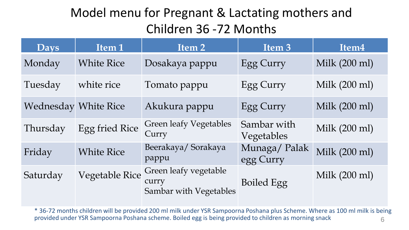#### Model menu for Pregnant & Lactating mothers and Children 36 -72 Months

| <b>Days</b>                 | Item <sub>1</sub>     | Item 2                                                   | Item <sub>3</sub>         | Item <sub>4</sub> |
|-----------------------------|-----------------------|----------------------------------------------------------|---------------------------|-------------------|
| Monday                      | <b>White Rice</b>     | Dosakaya pappu                                           | Egg Curry                 | Milk (200 ml)     |
| Tuesday                     | white rice            | Tomato pappu                                             | Egg Curry                 | Milk (200 ml)     |
| <b>Wednesday White Rice</b> |                       | Akukura pappu                                            | Egg Curry                 | Milk (200 ml)     |
| Thursday                    | <b>Egg fried Rice</b> | <b>Green leafy Vegetables</b><br>Curry                   | Sambar with<br>Vegetables | Milk (200 ml)     |
| Friday                      | <b>White Rice</b>     | Beerakaya/Sorakaya<br>pappu                              | Munaga/Palak<br>egg Curry | Milk (200 ml)     |
| Saturday                    | <b>Vegetable Rice</b> | Green leafy vegetable<br>curry<br>Sambar with Vegetables | <b>Boiled Egg</b>         | Milk (200 ml)     |

6 \* 36-72 months children will be provided 200 ml milk under YSR Sampoorna Poshana plus Scheme. Where as 100 ml milk is being provided under YSR Sampoorna Poshana scheme. Boiled egg is being provided to children as morning snack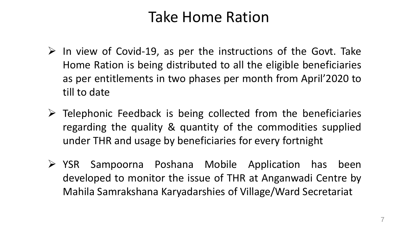## Take Home Ration

- $\triangleright$  In view of Covid-19, as per the instructions of the Govt. Take Home Ration is being distributed to all the eligible beneficiaries as per entitlements in two phases per month from April'2020 to till to date
- $\triangleright$  Telephonic Feedback is being collected from the beneficiaries regarding the quality & quantity of the commodities supplied under THR and usage by beneficiaries for every fortnight
- ➢ YSR Sampoorna Poshana Mobile Application has been developed to monitor the issue of THR at Anganwadi Centre by Mahila Samrakshana Karyadarshies of Village/Ward Secretariat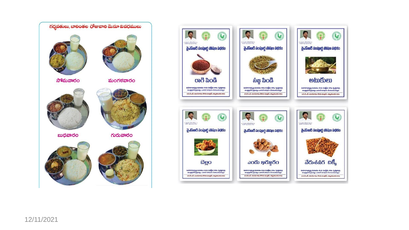